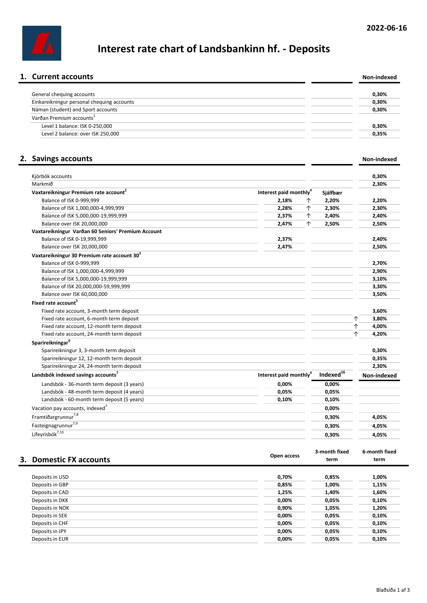# Interest rate chart of Landsbankinn hf. - Deposits

| Non-indexed |
|-------------|
|             |
| 0.30%       |
| 0.30%       |
| 0,30%       |
|             |
| 0,30%       |
| 0,35%       |
|             |

### 2. Savings accounts Non-indexed

| Kjörbók accounts                                        |                                    |                       | 0.30%       |
|---------------------------------------------------------|------------------------------------|-----------------------|-------------|
| Markmið                                                 |                                    |                       | 2,30%       |
| Vaxtareikningur Premium rate account <sup>2</sup>       | Interest paid monthly <sup>4</sup> | Sjálfbær              |             |
| Balance of ISK 0-999,999                                | 2,18%<br>个                         | 2,20%                 | 2,20%       |
| Balance of ISK 1,000,000-4,999,999                      | 2,28%<br>个                         | 2,30%                 | 2,30%       |
| Balance of ISK 5,000,000-19,999,999                     | 2,37%<br>↑                         | 2,40%                 | 2,40%       |
| Balance over ISK 20,000,000                             | 2,47%<br>↑                         | 2,50%                 | 2,50%       |
| Vaxtareikningur Varðan 60 Seniors' Premium Account      |                                    |                       |             |
| Balance of ISK 0-19,999,999                             | 2,37%                              |                       | 2,40%       |
| Balance over ISK 20,000,000                             | 2,47%                              |                       | 2,50%       |
| Vaxtareikningur 30 Premium rate account 30 <sup>3</sup> |                                    |                       |             |
| Balance of ISK 0-999,999                                |                                    |                       | 2,70%       |
| Balance of ISK 1,000,000-4,999,999                      |                                    |                       | 2,90%       |
| Balance of ISK 5,000,000-19,999,999                     |                                    |                       | 3,10%       |
| Balance of ISK 20,000,000-59,999,999                    |                                    |                       | 3,30%       |
| Balance over ISK 60,000,000                             |                                    |                       | 3,50%       |
| Fixed rate account <sup>5</sup>                         |                                    |                       |             |
| Fixed rate account, 3-month term deposit                |                                    |                       | 3,60%       |
| Fixed rate account, 6-month term deposit                |                                    |                       | 个<br>3,80%  |
| Fixed rate account, 12-month term deposit               |                                    |                       | 4,00%<br>个  |
| Fixed rate account, 24-month term deposit               |                                    |                       | ↑<br>4,20%  |
| Sparireikningar <sup>6</sup>                            |                                    |                       |             |
| Sparireikningur 3, 3-month term deposit                 |                                    |                       | 0,30%       |
| Sparireikningur 12, 12-month term deposit               |                                    |                       | 0,35%       |
| Sparireikningur 24, 24-month term deposit               |                                    |                       | 2,30%       |
| Landsbók indexed savings accounts <sup>7</sup>          | Interest paid monthly <sup>4</sup> | Indexed <sup>16</sup> | Non-indexed |
| Landsbók - 36-month term deposit (3 years)              | 0,00%                              | 0,00%                 |             |
| Landsbók - 48-month term deposit (4 years)              | 0,05%                              | 0,05%                 |             |
| Landsbók - 60-month term deposit (5 years)              | 0,10%                              | 0,10%                 |             |
| Vacation pay accounts, indexed <sup>7</sup>             |                                    | 0,00%                 |             |
| Framtíðargrunnur <sup>7,8</sup>                         |                                    | 0,30%                 | 4,05%       |
| Fasteignagrunnur <sup>7,9</sup>                         |                                    | 0,30%                 | 4,05%       |
| Lífeyrisbók <sup>7,10</sup>                             |                                    | 0,30%                 | 4,05%       |

| 3. Domestic FX accounts | Open access | 3-month fixed<br>term | 6-month fixed<br>term |
|-------------------------|-------------|-----------------------|-----------------------|
|                         |             |                       |                       |
| Deposits in USD         | 0,70%       | 0,85%                 | 1,00%                 |
| Deposits in GBP         | 0,85%       | 1,00%                 | 1,15%                 |
| Deposits in CAD         | 1,25%       | 1,40%                 | 1,60%                 |
| Deposits in DKK         | 0,00%       | 0,05%                 | 0,10%                 |
| Deposits in NOK         | 0,90%       | 1,05%                 | 1,20%                 |
| Deposits in SEK         | 0,00%       | 0,05%                 | 0,10%                 |
| Deposits in CHF         | 0,00%       | 0,05%                 | 0,10%                 |
| Deposits in JPY         | 0,00%       | 0,05%                 | 0,10%                 |
| Deposits in EUR         | 0,00%       | 0,05%                 | 0,10%                 |
|                         |             |                       |                       |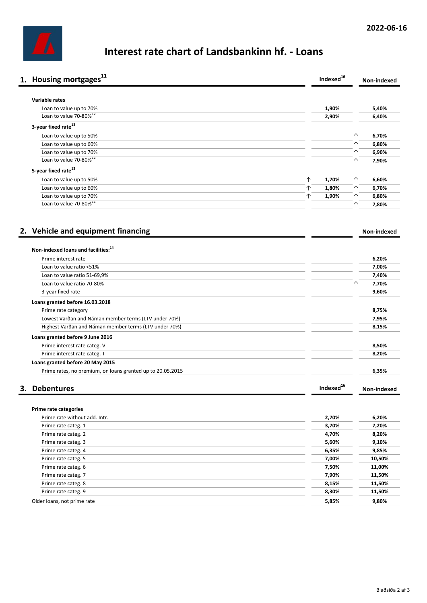

## Interest rate chart of Landsbankinn hf. - Loans

|    | 1. Housing mortgages <sup>11</sup>                               | Indexed <sup>16</sup> |   | Non-indexed |
|----|------------------------------------------------------------------|-----------------------|---|-------------|
|    | Variable rates                                                   |                       |   |             |
|    | Loan to value up to 70%                                          | 1,90%                 |   | 5,40%       |
|    | Loan to value 70-80% <sup>12</sup>                               | 2,90%                 |   | 6,40%       |
|    | 3-year fixed rate <sup>13</sup>                                  |                       |   |             |
|    | Loan to value up to 50%                                          |                       | ↑ | 6,70%       |
|    | Loan to value up to 60%                                          |                       | 个 | 6,80%       |
|    | Loan to value up to 70%                                          |                       | 个 | 6,90%       |
|    | Loan to value 70-80% <sup>12</sup>                               |                       | 个 | 7,90%       |
|    | 5-year fixed rate <sup>13</sup>                                  |                       |   |             |
|    | ↑<br>Loan to value up to 50%                                     | 1,70%                 | ↑ | 6,60%       |
|    | ↑<br>Loan to value up to 60%                                     | 1,80%                 | ↑ | 6,70%       |
|    | Loan to value up to 70%<br>↑                                     | 1,90%                 | 个 | 6,80%       |
|    | Loan to value 70-80% <sup>12</sup>                               |                       | ↑ | 7,80%       |
|    | 2. Vehicle and equipment financing                               |                       |   | Non-indexed |
|    | Non-indexed loans and facilities: <sup>14</sup>                  |                       |   |             |
|    | Prime interest rate                                              |                       |   | 6,20%       |
|    | Loan to value ratio <51%                                         |                       |   | 7,00%       |
|    | Loan to value ratio 51-69,9%                                     |                       |   | 7,40%       |
|    | Loan to value ratio 70-80%                                       |                       | 个 | 7,70%       |
|    | 3-year fixed rate                                                |                       |   | 9,60%       |
|    | Loans granted before 16.03.2018                                  |                       |   |             |
|    | Prime rate category                                              |                       |   | 8,75%       |
|    | Lowest Varðan and Náman member terms (LTV under 70%)             |                       |   | 7,95%       |
|    | Highest Varðan and Náman member terms (LTV under 70%)            |                       |   | 8,15%       |
|    |                                                                  |                       |   |             |
|    | Loans granted before 9 June 2016<br>Prime interest rate categ. V |                       |   | 8,50%       |
|    | Prime interest rate categ. T                                     |                       |   | 8,20%       |
|    | Loans granted before 20 May 2015                                 |                       |   |             |
|    | Prime rates, no premium, on loans granted up to 20.05.2015       |                       |   | 6,35%       |
|    |                                                                  |                       |   |             |
| З. | <b>Debentures</b>                                                | Indexed <sup>16</sup> |   | Non-indexed |
|    |                                                                  |                       |   |             |
|    | Prime rate categories                                            |                       |   |             |
|    | Prime rate without add. Intr.                                    | 2,70%                 |   | 6,20%       |
|    | Prime rate categ. 1                                              | 3,70%                 |   | 7,20%       |
|    | Prime rate categ. 2                                              | 4,70%                 |   | 8,20%       |
|    | Prime rate categ. 3                                              | 5,60%                 |   | 9,10%       |
|    | Prime rate categ. 4                                              | 6,35%                 |   | 9,85%       |
|    | Prime rate categ. 5                                              | 7,00%                 |   | 10,50%      |
|    | Prime rate categ. 6                                              | 7,50%                 |   | 11,00%      |
|    | Prime rate categ. 7                                              | 7,90%                 |   | 11,50%      |
|    | Prime rate categ. 8                                              | 8,15%                 |   | 11,50%      |
|    | Prime rate categ. 9                                              | 8,30%                 |   | 11,50%      |
|    | Older loans, not prime rate                                      | 5,85%                 |   | 9,80%       |